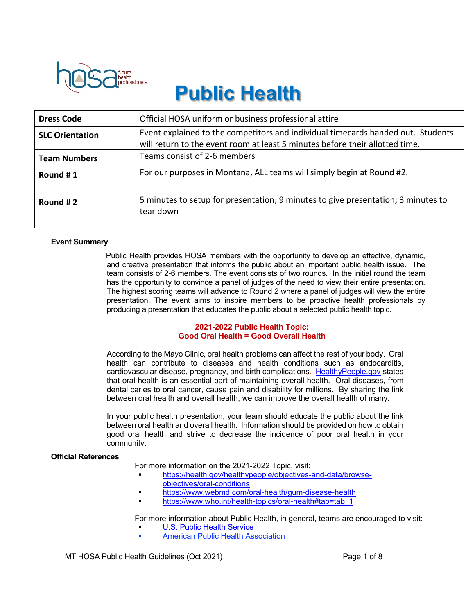

# **Public Health**

| <b>Dress Code</b>      | Official HOSA uniform or business professional attire                                                                                                            |
|------------------------|------------------------------------------------------------------------------------------------------------------------------------------------------------------|
| <b>SLC Orientation</b> | Event explained to the competitors and individual timecards handed out. Students<br>will return to the event room at least 5 minutes before their allotted time. |
| <b>Team Numbers</b>    | Teams consist of 2-6 members                                                                                                                                     |
| Round #1               | For our purposes in Montana, ALL teams will simply begin at Round #2.                                                                                            |
| Round #2               | 5 minutes to setup for presentation; 9 minutes to give presentation; 3 minutes to<br>tear down                                                                   |

#### **Event Summary**

Public Health provides HOSA members with the opportunity to develop an effective, dynamic, and creative presentation that informs the public about an important public health issue. The team consists of 2-6 members. The event consists of two rounds. In the initial round the team has the opportunity to convince a panel of judges of the need to view their entire presentation. The highest scoring teams will advance to Round 2 where a panel of judges will view the entire presentation. The event aims to inspire members to be proactive health professionals by producing a presentation that educates the public about a selected public health topic.

## **2021-2022 Public Health Topic: Good Oral Health = Good Overall Health**

According to the Mayo Clinic, oral health problems can affect the rest of your body. Oral health can contribute to diseases and health conditions such as endocarditis, cardiovascular disease, pregnancy, and birth complications. HealthyPeople.gov states that oral health is an essential part of maintaining overall health. Oral diseases, from dental caries to oral cancer, cause pain and disability for millions. By sharing the link between oral health and overall health, we can improve the overall health of many.

In your public health presentation, your team should educate the public about the link between oral health and overall health. Information should be provided on how to obtain good oral health and strive to decrease the incidence of poor oral health in your community.

#### **Official References**

For more information on the 2021-2022 Topic, visit:

- § https://health.gov/healthypeople/objectives-and-data/browseobjectives/oral-conditions
- § https://www.webmd.com/oral-health/gum-disease-health
- https://www.who.int/health-topics/oral-health#tab=tab\_1

For more information about Public Health, in general, teams are encouraged to visit:

- U.S. Public Health Service
- § American Public Health Association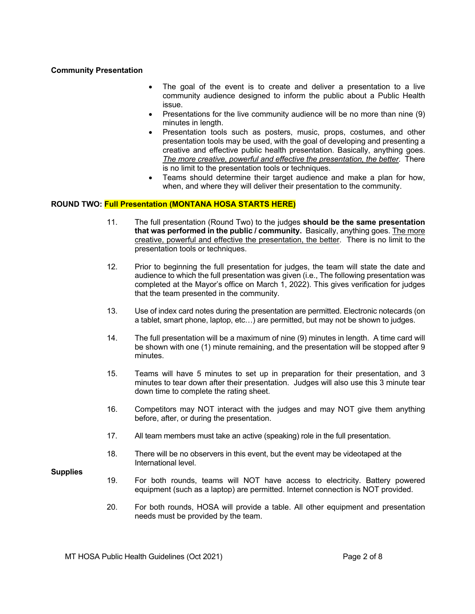### **Community Presentation**

- The goal of the event is to create and deliver a presentation to a live community audience designed to inform the public about a Public Health issue.
- Presentations for the live community audience will be no more than nine (9) minutes in length.
- Presentation tools such as posters, music, props, costumes, and other presentation tools may be used, with the goal of developing and presenting a creative and effective public health presentation. Basically, anything goes. *The more creative, powerful and effective the presentation, the better.* There is no limit to the presentation tools or techniques.
- Teams should determine their target audience and make a plan for how, when, and where they will deliver their presentation to the community.

## **ROUND TWO: Full Presentation (MONTANA HOSA STARTS HERE)**

- 11. The full presentation (Round Two) to the judges **should be the same presentation that was performed in the public / community.** Basically, anything goes. The more creative, powerful and effective the presentation, the better. There is no limit to the presentation tools or techniques.
- 12. Prior to beginning the full presentation for judges, the team will state the date and audience to which the full presentation was given (i.e., The following presentation was completed at the Mayor's office on March 1, 2022). This gives verification for judges that the team presented in the community.
- 13. Use of index card notes during the presentation are permitted. Electronic notecards (on a tablet, smart phone, laptop, etc…) are permitted, but may not be shown to judges.
- 14. The full presentation will be a maximum of nine (9) minutes in length. A time card will be shown with one (1) minute remaining, and the presentation will be stopped after 9 minutes.
- 15. Teams will have 5 minutes to set up in preparation for their presentation, and 3 minutes to tear down after their presentation. Judges will also use this 3 minute tear down time to complete the rating sheet.
- 16. Competitors may NOT interact with the judges and may NOT give them anything before, after, or during the presentation.
- 17. All team members must take an active (speaking) role in the full presentation.
- 18. There will be no observers in this event, but the event may be videotaped at the International level.

#### **Supplies**

- 19. For both rounds, teams will NOT have access to electricity. Battery powered equipment (such as a laptop) are permitted. Internet connection is NOT provided.
- 20. For both rounds, HOSA will provide a table. All other equipment and presentation needs must be provided by the team.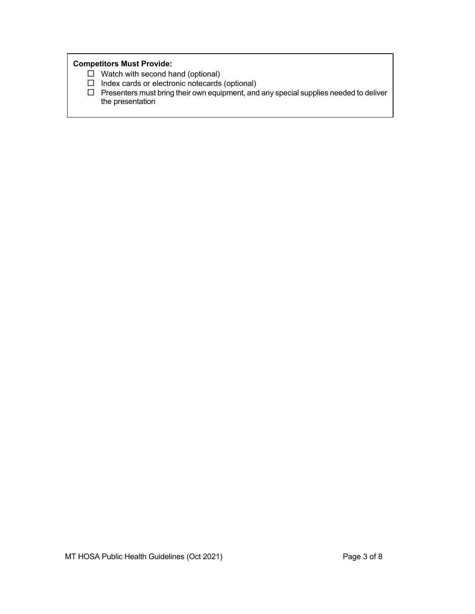# **Competitors Must Provide:**

- $\Box$  Watch with second hand (optional)
- $\square$  Index cards or electronic notecards (optional)
- $\Box$  Presenters must bring their own equipment, and any special supplies needed to deliver the presentation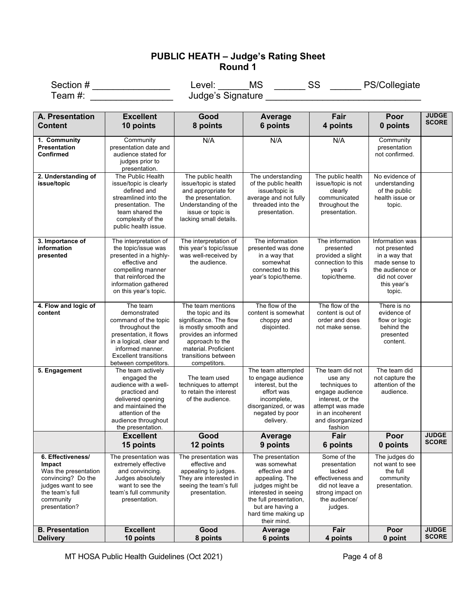# **PUBLIC HEATH – Judge's Rating Sheet Round 1**

Section # \_\_\_\_\_\_\_\_\_\_\_\_\_\_\_\_\_\_\_\_\_\_\_\_\_Level: \_\_\_\_\_\_\_MS \_\_\_\_\_\_\_\_SS \_\_\_\_\_\_\_\_PS/Collegiate Team #: \_\_\_\_\_\_\_\_\_\_\_\_\_\_\_\_\_\_\_\_ Judge's Signature \_\_\_\_\_\_\_\_\_\_\_\_\_\_\_\_\_\_\_\_\_\_\_\_\_\_\_\_\_\_\_\_

| A. Presentation                                                                                                                                  | <b>Excellent</b>                                                                                                                                                                                    | Good                                                                                                                                                                                               | Average                                                                                                                                                                                            | Fair                                                                                                                                                       | Poor                                                                                                                            | <b>JUDGE</b>                 |
|--------------------------------------------------------------------------------------------------------------------------------------------------|-----------------------------------------------------------------------------------------------------------------------------------------------------------------------------------------------------|----------------------------------------------------------------------------------------------------------------------------------------------------------------------------------------------------|----------------------------------------------------------------------------------------------------------------------------------------------------------------------------------------------------|------------------------------------------------------------------------------------------------------------------------------------------------------------|---------------------------------------------------------------------------------------------------------------------------------|------------------------------|
| <b>Content</b>                                                                                                                                   | 10 points                                                                                                                                                                                           | 8 points                                                                                                                                                                                           | 6 points                                                                                                                                                                                           | 4 points                                                                                                                                                   | 0 points                                                                                                                        | <b>SCORE</b>                 |
| 1. Community<br><b>Presentation</b><br>Confirmed                                                                                                 | Community<br>presentation date and<br>audience stated for<br>judges prior to<br>presentation.                                                                                                       | N/A                                                                                                                                                                                                | N/A                                                                                                                                                                                                | N/A                                                                                                                                                        | Community<br>presentation<br>not confirmed.                                                                                     |                              |
| 2. Understanding of<br>issue/topic                                                                                                               | The Public Health<br>issue/topic is clearly<br>defined and<br>streamlined into the<br>presentation. The<br>team shared the<br>complexity of the<br>public health issue.                             | The public health<br>issue/topic is stated<br>and appropriate for<br>the presentation.<br>Understanding of the<br>issue or topic is<br>lacking small details.                                      | The understanding<br>of the public health<br>issue/topic is<br>average and not fully<br>threaded into the<br>presentation.                                                                         | The public health<br>issue/topic is not<br>clearly<br>communicated<br>throughout the<br>presentation.                                                      | No evidence of<br>understanding<br>of the public<br>health issue or<br>topic.                                                   |                              |
| 3. Importance of<br>information<br>presented                                                                                                     | The interpretation of<br>the topic/issue was<br>presented in a highly-<br>effective and<br>compelling manner<br>that reinforced the<br>information gathered<br>on this year's topic.                | The interpretation of<br>this year's topic/issue<br>was well-received by<br>the audience.                                                                                                          | The information<br>presented was done<br>in a way that<br>somewhat<br>connected to this<br>year's topic/theme.                                                                                     | The information<br>presented<br>provided a slight<br>connection to this<br>year's<br>topic/theme.                                                          | Information was<br>not presented<br>in a way that<br>made sense to<br>the audience or<br>did not cover<br>this year's<br>topic. |                              |
| 4. Flow and logic of<br>content                                                                                                                  | The team<br>demonstrated<br>command of the topic<br>throughout the<br>presentation, it flows<br>in a logical, clear and<br>informed manner.<br><b>Excellent transitions</b><br>between competitors. | The team mentions<br>the topic and its<br>significance. The flow<br>is mostly smooth and<br>provides an informed<br>approach to the<br>material. Proficient<br>transitions between<br>competitors. | The flow of the<br>content is somewhat<br>choppy and<br>disjointed.                                                                                                                                | The flow of the<br>content is out of<br>order and does<br>not make sense.                                                                                  | There is no<br>evidence of<br>flow or logic<br>behind the<br>presented<br>content.                                              |                              |
| 5. Engagement                                                                                                                                    | The team actively<br>engaged the<br>audience with a well-<br>practiced and<br>delivered opening<br>and maintained the<br>attention of the<br>audience throughout<br>the presentation.               | The team used<br>techniques to attempt<br>to retain the interest<br>of the audience.                                                                                                               | The team attempted<br>to engage audience<br>interest, but the<br>effort was<br>incomplete,<br>disorganized, or was<br>negated by poor<br>delivery.                                                 | The team did not<br>use any<br>techniques to<br>engage audience<br>interest, or the<br>attempt was made<br>in an incoherent<br>and disorganized<br>fashion | The team did<br>not capture the<br>attention of the<br>audience.                                                                |                              |
|                                                                                                                                                  | <b>Excellent</b><br>15 points                                                                                                                                                                       | Good<br>12 points                                                                                                                                                                                  | Average<br>9 points                                                                                                                                                                                | Fair<br>6 points                                                                                                                                           | Poor<br>0 points                                                                                                                | <b>JUDGE</b><br><b>SCORE</b> |
| 6. Effectiveness/<br>Impact<br>Was the presentation<br>convincing? Do the<br>judges want to see<br>the team's full<br>community<br>presentation? | The presentation was<br>extremely effective<br>and convincing.<br>Judges absolutely<br>want to see the<br>team's full community<br>presentation.                                                    | The presentation was<br>effective and<br>appealing to judges.<br>They are interested in<br>seeing the team's full<br>presentation.                                                                 | The presentation<br>was somewhat<br>effective and<br>appealing. The<br>judges might be<br>interested in seeing<br>the full presentation,<br>but are having a<br>hard time making up<br>their mind. | Some of the<br>presentation<br>lacked<br>effectiveness and<br>did not leave a<br>strong impact on<br>the audience/<br>judges.                              | The judges do<br>not want to see<br>the full<br>community<br>presentation.                                                      |                              |
| <b>B. Presentation</b><br><b>Delivery</b>                                                                                                        | <b>Excellent</b><br>10 points                                                                                                                                                                       | Good<br>8 points                                                                                                                                                                                   | Average<br>6 points                                                                                                                                                                                | Fair<br>4 points                                                                                                                                           | Poor<br>0 point                                                                                                                 | <b>JUDGE</b><br><b>SCORE</b> |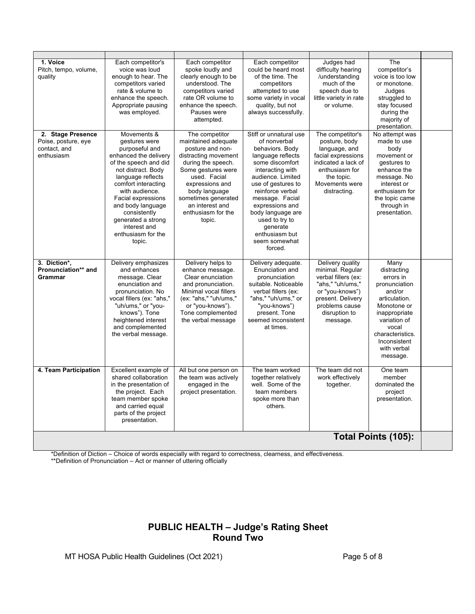| 1. Voice<br>Pitch, tempo, volume,<br>quality<br>2. Stage Presence | Each competitor's<br>voice was loud<br>enough to hear. The<br>competitors varied<br>rate & volume to<br>enhance the speech.<br>Appropriate pausing<br>was employed.<br>Movements &                                                                                                                     | Each competitor<br>spoke loudly and<br>clearly enough to be<br>understood. The<br>competitors varied<br>rate OR volume to<br>enhance the speech.<br>Pauses were<br>attempted.<br>The competitor                                           | Each competitor<br>could be heard most<br>of the time. The<br>competitors<br>attempted to use<br>some variety in vocal<br>quality, but not<br>always successfully.<br>Stiff or unnatural use                                                                                                      | Judges had<br>difficulty hearing<br>/understanding<br>much of the<br>speech due to<br>little variety in rate<br>or volume.<br>The competitor's                         | The<br>competitor's<br>voice is too low<br>or monotone.<br>Judges<br>struggled to<br>stay focused<br>during the<br>majority of<br>presentation.<br>No attempt was                                    |  |
|-------------------------------------------------------------------|--------------------------------------------------------------------------------------------------------------------------------------------------------------------------------------------------------------------------------------------------------------------------------------------------------|-------------------------------------------------------------------------------------------------------------------------------------------------------------------------------------------------------------------------------------------|---------------------------------------------------------------------------------------------------------------------------------------------------------------------------------------------------------------------------------------------------------------------------------------------------|------------------------------------------------------------------------------------------------------------------------------------------------------------------------|------------------------------------------------------------------------------------------------------------------------------------------------------------------------------------------------------|--|
| Poise, posture, eye<br>contact, and<br>enthusiasm                 | gestures were<br>purposeful and<br>enhanced the delivery<br>of the speech and did<br>not distract. Body<br>language reflects<br>comfort interacting<br>with audience.<br>Facial expressions<br>and body language<br>consistently<br>generated a strong<br>interest and<br>enthusiasm for the<br>topic. | maintained adequate<br>posture and non-<br>distracting movement<br>during the speech.<br>Some gestures were<br>used. Facial<br>expressions and<br>body language<br>sometimes generated<br>an interest and<br>enthusiasm for the<br>topic. | of nonverbal<br>behaviors. Body<br>language reflects<br>some discomfort<br>interacting with<br>audience. Limited<br>use of gestures to<br>reinforce verbal<br>message. Facial<br>expressions and<br>body language are<br>used to try to<br>qenerate<br>enthusiasm but<br>seem somewhat<br>forced. | posture, body<br>language, and<br>facial expressions<br>indicated a lack of<br>enthusiasm for<br>the topic.<br>Movements were<br>distracting.                          | made to use<br>body<br>movement or<br>gestures to<br>enhance the<br>message. No<br>interest or<br>enthusiasm for<br>the topic came<br>through in<br>presentation.                                    |  |
| 3. Diction*,<br>Pronunciation** and<br><b>Grammar</b>             | Delivery emphasizes<br>and enhances<br>message. Clear<br>enunciation and<br>pronunciation. No<br>vocal fillers (ex: "ahs,"<br>"uh/ums," or "you-<br>knows"). Tone<br>heightened interest<br>and complemented<br>the verbal message.                                                                    | Delivery helps to<br>enhance message.<br>Clear enunciation<br>and pronunciation.<br>Minimal vocal fillers<br>(ex: "ahs," "uh/ums,"<br>or "you-knows").<br>Tone complemented<br>the verbal message                                         | Delivery adequate.<br>Enunciation and<br>pronunciation<br>suitable. Noticeable<br>verbal fillers (ex:<br>"ahs," "uh/ums," or<br>"you-knows")<br>present. Tone<br>seemed inconsistent<br>at times.                                                                                                 | Delivery quality<br>minimal. Regular<br>verbal fillers (ex:<br>"ahs," "uh/ums,"<br>or "you-knows")<br>present. Delivery<br>problems cause<br>disruption to<br>message. | Many<br>distracting<br>errors in<br>pronunciation<br>and/or<br>articulation.<br>Monotone or<br>inappropriate<br>variation of<br>vocal<br>characteristics.<br>Inconsistent<br>with verbal<br>message. |  |
| 4. Team Participation                                             | Excellent example of<br>shared collaboration<br>in the presentation of<br>the project. Each<br>team member spoke<br>and carried equal<br>parts of the project<br>presentation.                                                                                                                         | All but one person on<br>the team was actively<br>engaged in the<br>project presentation.                                                                                                                                                 | The team worked<br>together relatively<br>well. Some of the<br>team members<br>spoke more than<br>others.                                                                                                                                                                                         | The team did not<br>work effectively<br>together.                                                                                                                      | One team<br>member<br>dominated the<br>project<br>presentation.                                                                                                                                      |  |
|                                                                   | Total Points (105):                                                                                                                                                                                                                                                                                    |                                                                                                                                                                                                                                           |                                                                                                                                                                                                                                                                                                   |                                                                                                                                                                        |                                                                                                                                                                                                      |  |

\*Definition of Diction – Choice of words especially with regard to correctness, clearness, and effectiveness. \*\*Definition of Pronunciation – Act or manner of uttering officially

# **PUBLIC HEALTH – Judge's Rating Sheet Round Two**

MT HOSA Public Health Guidelines (Oct 2021) Page 5 of 8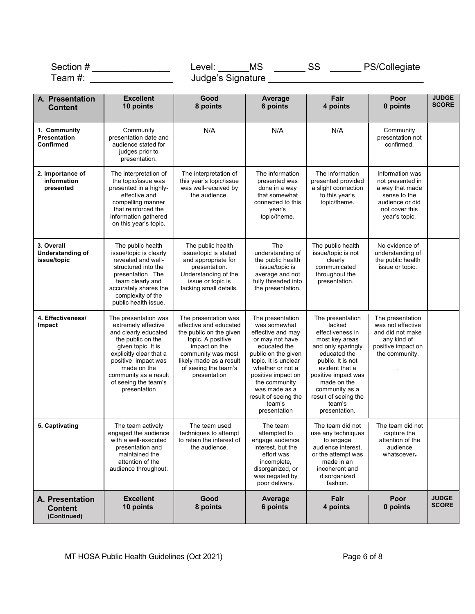|                                                      | Section # ___________________                                                                                                                                                                                                                    | <b>MS</b><br>Level:                                                                                                                                                                                      | $\frac{1}{\sqrt{1-\frac{1}{2}}}\text{SS}$                                                                                                                                                                                                                             |                                                                                                                                                                                                                                                          | PS/Collegiate                                                                                                                |                              |
|------------------------------------------------------|--------------------------------------------------------------------------------------------------------------------------------------------------------------------------------------------------------------------------------------------------|----------------------------------------------------------------------------------------------------------------------------------------------------------------------------------------------------------|-----------------------------------------------------------------------------------------------------------------------------------------------------------------------------------------------------------------------------------------------------------------------|----------------------------------------------------------------------------------------------------------------------------------------------------------------------------------------------------------------------------------------------------------|------------------------------------------------------------------------------------------------------------------------------|------------------------------|
| Team #:                                              |                                                                                                                                                                                                                                                  |                                                                                                                                                                                                          |                                                                                                                                                                                                                                                                       |                                                                                                                                                                                                                                                          |                                                                                                                              |                              |
| A. Presentation<br><b>Content</b>                    | <b>Excellent</b><br>10 points                                                                                                                                                                                                                    | Good<br>8 points                                                                                                                                                                                         | <b>Average</b><br>6 points                                                                                                                                                                                                                                            | Fair<br>4 points                                                                                                                                                                                                                                         | Poor<br>0 points                                                                                                             | <b>JUDGE</b><br><b>SCORE</b> |
| 1. Community<br><b>Presentation</b><br>Confirmed     | Community<br>presentation date and<br>audience stated for<br>judges prior to<br>presentation.                                                                                                                                                    | N/A                                                                                                                                                                                                      | N/A                                                                                                                                                                                                                                                                   | N/A                                                                                                                                                                                                                                                      | Community<br>presentation not<br>confirmed.                                                                                  |                              |
| 2. Importance of<br>information<br>presented         | The interpretation of<br>the topic/issue was<br>presented in a highly-<br>effective and<br>compelling manner<br>that reinforced the<br>information gathered<br>on this year's topic.                                                             | The interpretation of<br>this year's topic/issue<br>was well-received by<br>the audience.                                                                                                                | The information<br>presented was<br>done in a way<br>that somewhat<br>connected to this<br>year's<br>topic/theme.                                                                                                                                                     | The information<br>presented provided<br>a slight connection<br>to this year's<br>topic/theme.                                                                                                                                                           | Information was<br>not presented in<br>a way that made<br>sense to the<br>audience or did<br>not cover this<br>year's topic. |                              |
| 3. Overall<br><b>Understanding of</b><br>issue/topic | The public health<br>issue/topic is clearly<br>revealed and well-<br>structured into the<br>presentation. The<br>team clearly and<br>accurately shares the<br>complexity of the<br>public health issue.                                          | The public health<br>issue/topic is stated<br>and appropriate for<br>presentation.<br>Understanding of the<br>issue or topic is<br>lacking small details.                                                | The<br>understanding of<br>the public health<br>issue/topic is<br>average and not<br>fully threaded into<br>the presentation.                                                                                                                                         | The public health<br>issue/topic is not<br>clearly<br>communicated<br>throughout the<br>presentation.                                                                                                                                                    | No evidence of<br>understanding of<br>the public health<br>issue or topic.                                                   |                              |
| 4. Effectiveness/<br>Impact                          | The presentation was<br>extremely effective<br>and clearly educated<br>the public on the<br>given topic. It is<br>explicitly clear that a<br>positive impact was<br>made on the<br>community as a result<br>of seeing the team's<br>presentation | The presentation was<br>effective and educated<br>the public on the given<br>topic. A positive<br>impact on the<br>community was most<br>likely made as a result<br>of seeing the team's<br>presentation | The presentation<br>was somewhat<br>effective and may<br>or may not have<br>educated the<br>public on the given<br>topic. It is unclear<br>whether or not a<br>positive impact on<br>the community<br>was made as a<br>result of seeing the<br>team's<br>presentation | The presentation<br>lacked<br>effectiveness in<br>most key areas<br>and only sparingly<br>educated the<br>public. It is not<br>evident that a<br>positive impact was<br>made on the<br>community as a<br>result of seeing the<br>team's<br>presentation. | The presentation<br>was not effective<br>and did not make<br>any kind of<br>positive impact on<br>the community.             |                              |
| 5. Captivating                                       | The team actively<br>engaged the audience<br>with a well-executed<br>presentation and<br>maintained the<br>attention of the<br>audience throughout.                                                                                              | The team used<br>techniques to attempt<br>to retain the interest of<br>the audience.                                                                                                                     | The team<br>attempted to<br>engage audience<br>interest, but the<br>effort was<br>incomplete,<br>disorganized, or<br>was negated by<br>poor delivery.                                                                                                                 | The team did not<br>use any techniques<br>to engage<br>audience interest,<br>or the attempt was<br>made in an<br>incoherent and<br>disorganized<br>fashion.                                                                                              | The team did not<br>capture the<br>attention of the<br>audience<br>whatsoever.                                               |                              |
| A. Presentation<br><b>Content</b><br>(Continued)     | <b>Excellent</b><br>10 points                                                                                                                                                                                                                    | Good<br>8 points                                                                                                                                                                                         | Average<br>6 points                                                                                                                                                                                                                                                   | Fair<br>4 points                                                                                                                                                                                                                                         | Poor<br>0 points                                                                                                             | <b>JUDGE</b><br><b>SCORE</b> |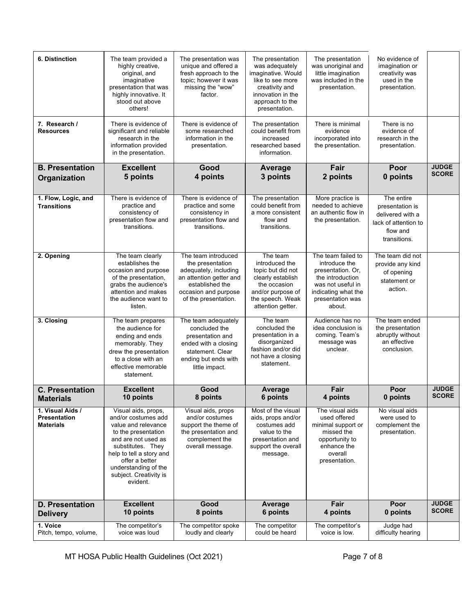| 6. Distinction                                              | The team provided a<br>highly creative,<br>original, and<br>imaginative<br>presentation that was<br>highly innovative. It<br>stood out above<br>others!                                                                                          | The presentation was<br>unique and offered a<br>fresh approach to the<br>topic; however it was<br>missing the "wow"<br>factor.                                 | The presentation<br>was adequately<br>imaginative. Would<br>like to see more<br>creativity and<br>innovation in the<br>approach to the<br>presentation. | The presentation<br>was unoriginal and<br>little imagination<br>was included in the<br>presentation.                                                   | No evidence of<br>imagination or<br>creativity was<br>used in the<br>presentation.                    |                              |
|-------------------------------------------------------------|--------------------------------------------------------------------------------------------------------------------------------------------------------------------------------------------------------------------------------------------------|----------------------------------------------------------------------------------------------------------------------------------------------------------------|---------------------------------------------------------------------------------------------------------------------------------------------------------|--------------------------------------------------------------------------------------------------------------------------------------------------------|-------------------------------------------------------------------------------------------------------|------------------------------|
| 7. Research /<br><b>Resources</b>                           | There is evidence of<br>significant and reliable<br>research in the<br>information provided<br>in the presentation.                                                                                                                              | There is evidence of<br>some researched<br>information in the<br>presentation.                                                                                 | The presentation<br>could benefit from<br>increased<br>researched based<br>information.                                                                 | There is minimal<br>evidence<br>incorporated into<br>the presentation.                                                                                 | There is no<br>evidence of<br>research in the<br>presentation.                                        |                              |
| <b>B. Presentation</b>                                      | <b>Excellent</b><br>5 points                                                                                                                                                                                                                     | Good<br>4 points                                                                                                                                               | <b>Average</b><br>3 points                                                                                                                              | Fair<br>2 points                                                                                                                                       | Poor<br>0 points                                                                                      | <b>JUDGE</b><br><b>SCORE</b> |
| Organization                                                |                                                                                                                                                                                                                                                  |                                                                                                                                                                |                                                                                                                                                         |                                                                                                                                                        |                                                                                                       |                              |
| 1. Flow, Logic, and<br><b>Transitions</b>                   | There is evidence of<br>practice and<br>consistency of<br>presentation flow and<br>transitions.                                                                                                                                                  | There is evidence of<br>practice and some<br>consistency in<br>presentation flow and<br>transitions.                                                           | The presentation<br>could benefit from<br>a more consistent<br>flow and<br>transitions.                                                                 | More practice is<br>needed to achieve<br>an authentic flow in<br>the presentation.                                                                     | The entire<br>presentation is<br>delivered with a<br>lack of attention to<br>flow and<br>transitions. |                              |
| 2. Opening                                                  | The team clearly<br>establishes the<br>occasion and purpose<br>of the presentation,<br>grabs the audience's<br>attention and makes<br>the audience want to<br>listen.                                                                            | The team introduced<br>the presentation<br>adequately, including<br>an attention getter and<br>established the<br>occasion and purpose<br>of the presentation. | The team<br>introduced the<br>topic but did not<br>clearly establish<br>the occasion<br>and/or purpose of<br>the speech. Weak<br>attention getter.      | The team failed to<br>introduce the<br>presentation. Or,<br>the introduction<br>was not useful in<br>indicating what the<br>presentation was<br>about. | The team did not<br>provide any kind<br>of opening<br>statement or<br>action.                         |                              |
| 3. Closing                                                  | The team prepares<br>the audience for<br>ending and ends<br>memorably. They<br>drew the presentation<br>to a close with an<br>effective memorable<br>statement.                                                                                  | The team adequately<br>concluded the<br>presentation and<br>ended with a closing<br>statement. Clear<br>ending but ends with<br>little impact.                 | The team<br>concluded the<br>presentation in a<br>disorganized<br>fashion and/or did<br>not have a closing<br>statement.                                | Audience has no<br>idea conclusion is<br>coming. Team's<br>message was<br>unclear.                                                                     | The team ended<br>the presentation<br>abruptly without<br>an effective<br>conclusion.                 |                              |
| <b>C. Presentation</b><br><b>Materials</b>                  | <b>Excellent</b><br>10 points                                                                                                                                                                                                                    | Good<br>8 points                                                                                                                                               | Average<br>6 points                                                                                                                                     | Fair<br>4 points                                                                                                                                       | Poor<br>0 points                                                                                      | <b>JUDGE</b><br><b>SCORE</b> |
| 1. Visual Aids /<br><b>Presentation</b><br><b>Materials</b> | Visual aids, props,<br>and/or costumes add<br>value and relevance<br>to the presentation<br>and are not used as<br>substitutes. They<br>help to tell a story and<br>offer a better<br>understanding of the<br>subject. Creativity is<br>evident. | Visual aids, props<br>and/or costumes<br>support the theme of<br>the presentation and<br>complement the<br>overall message.                                    | Most of the visual<br>aids, props and/or<br>costumes add<br>value to the<br>presentation and<br>support the overall<br>message.                         | The visual aids<br>used offered<br>minimal support or<br>missed the<br>opportunity to<br>enhance the<br>overall<br>presentation.                       | No visual aids<br>were used to<br>complement the<br>presentation.                                     |                              |
| <b>D. Presentation</b><br><b>Delivery</b>                   | <b>Excellent</b><br>10 points                                                                                                                                                                                                                    | Good<br>8 points                                                                                                                                               | Average<br>6 points                                                                                                                                     | Fair<br>4 points                                                                                                                                       | Poor<br>0 points                                                                                      | <b>JUDGE</b><br><b>SCORE</b> |
| 1. Voice<br>Pitch, tempo, volume,                           | The competitor's<br>voice was loud                                                                                                                                                                                                               | The competitor spoke<br>loudly and clearly                                                                                                                     | The competitor<br>could be heard                                                                                                                        | The competitor's<br>voice is low.                                                                                                                      | Judge had<br>difficulty hearing                                                                       |                              |